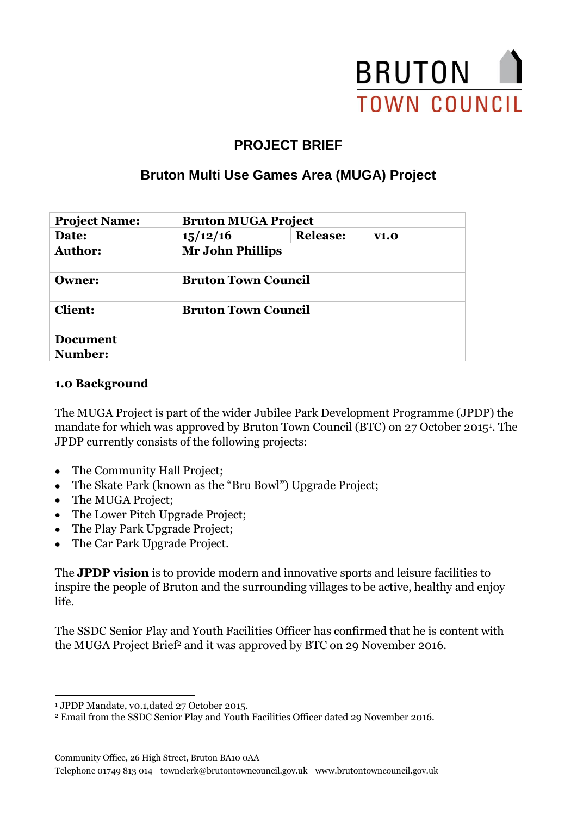

# **PROJECT BRIEF**

# **Bruton Multi Use Games Area (MUGA) Project**

| <b>Project Name:</b> |                            | <b>Bruton MUGA Project</b> |      |  |
|----------------------|----------------------------|----------------------------|------|--|
| Date:                | 15/12/16                   | <b>Release:</b>            | V1.0 |  |
| <b>Author:</b>       |                            | <b>Mr John Phillips</b>    |      |  |
| <b>Owner:</b>        | <b>Bruton Town Council</b> |                            |      |  |
| <b>Client:</b>       | <b>Bruton Town Council</b> |                            |      |  |
| <b>Document</b>      |                            |                            |      |  |
| Number:              |                            |                            |      |  |

#### **1.0 Background**

The MUGA Project is part of the wider Jubilee Park Development Programme (JPDP) the mandate for which was approved by Bruton Town Council (BTC) on 27 October 2015<sup>1</sup>. The JPDP currently consists of the following projects:

- The Community Hall Project;
- The Skate Park (known as the "Bru Bowl") Upgrade Project;
- The MUGA Project;
- The Lower Pitch Upgrade Project;
- The Play Park Upgrade Project;
- The Car Park Upgrade Project.

The **JPDP vision** is to provide modern and innovative sports and leisure facilities to inspire the people of Bruton and the surrounding villages to be active, healthy and enjoy life.

The SSDC Senior Play and Youth Facilities Officer has confirmed that he is content with the MUGA Project Brief<sup>2</sup> and it was approved by BTC on 29 November 2016.

Community Office, 26 High Street, Bruton BA10 0AA

Telephone 01749 813 014 townclerk@brutontowncouncil.gov.uk www.brutontowncouncil.gov.uk

<sup>-</sup><sup>1</sup> JPDP Mandate, v0.1,dated 27 October 2015.

<sup>2</sup> Email from the SSDC Senior Play and Youth Facilities Officer dated 29 November 2016.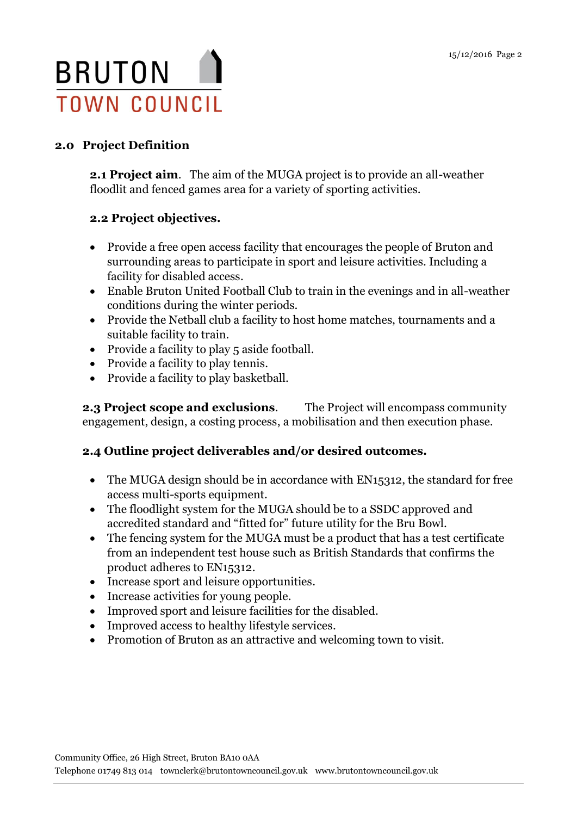

### **2.0 Project Definition**

**2.1 Project aim**. The aim of the MUGA project is to provide an all-weather floodlit and fenced games area for a variety of sporting activities.

### **2.2 Project objectives.**

- Provide a free open access facility that encourages the people of Bruton and surrounding areas to participate in sport and leisure activities. Including a facility for disabled access.
- Enable Bruton United Football Club to train in the evenings and in all-weather conditions during the winter periods.
- Provide the Netball club a facility to host home matches, tournaments and a suitable facility to train.
- Provide a facility to play 5 aside football.
- Provide a facility to play tennis.
- Provide a facility to play basketball.

**2.3 Project scope and exclusions.** The Project will encompass community engagement, design, a costing process, a mobilisation and then execution phase.

### **2.4 Outline project deliverables and/or desired outcomes.**

- The MUGA design should be in accordance with EN15312, the standard for free access multi-sports equipment.
- The floodlight system for the MUGA should be to a SSDC approved and accredited standard and "fitted for" future utility for the Bru Bowl.
- The fencing system for the MUGA must be a product that has a test certificate from an independent test house such as British Standards that confirms the product adheres to EN15312.
- Increase sport and leisure opportunities.
- Increase activities for young people.
- Improved sport and leisure facilities for the disabled.
- Improved access to healthy lifestyle services.
- Promotion of Bruton as an attractive and welcoming town to visit.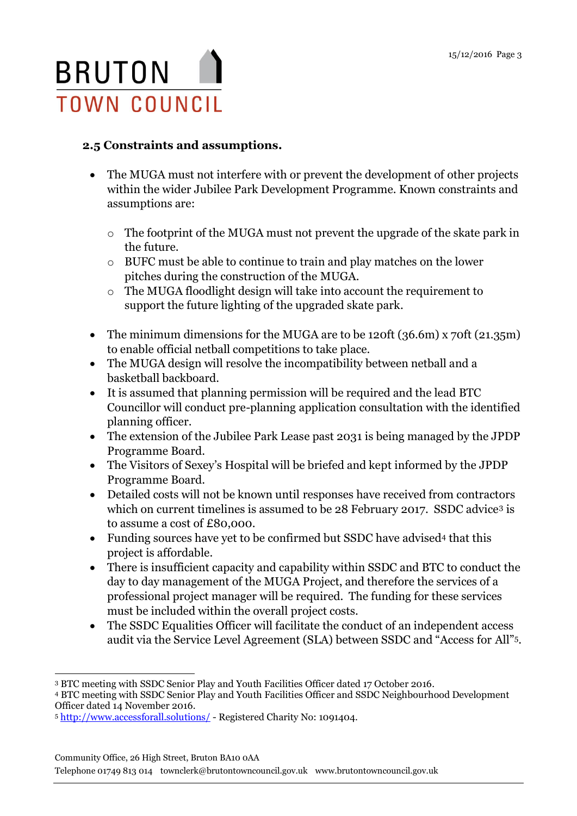

### **2.5 Constraints and assumptions.**

- The MUGA must not interfere with or prevent the development of other projects within the wider Jubilee Park Development Programme. Known constraints and assumptions are:
	- o The footprint of the MUGA must not prevent the upgrade of the skate park in the future.
	- o BUFC must be able to continue to train and play matches on the lower pitches during the construction of the MUGA.
	- o The MUGA floodlight design will take into account the requirement to support the future lighting of the upgraded skate park.
- The minimum dimensions for the MUGA are to be 120ft (36.6m) x 70ft (21.35m) to enable official netball competitions to take place.
- The MUGA design will resolve the incompatibility between netball and a basketball backboard.
- It is assumed that planning permission will be required and the lead BTC Councillor will conduct pre-planning application consultation with the identified planning officer.
- The extension of the Jubilee Park Lease past 2031 is being managed by the JPDP Programme Board.
- The Visitors of Sexey's Hospital will be briefed and kept informed by the JPDP Programme Board.
- Detailed costs will not be known until responses have received from contractors which on current timelines is assumed to be 28 February 2017. SSDC advice<sup>3</sup> is to assume a cost of £80,000.
- Funding sources have yet to be confirmed but SSDC have advised<sup>4</sup> that this project is affordable.
- There is insufficient capacity and capability within SSDC and BTC to conduct the day to day management of the MUGA Project, and therefore the services of a professional project manager will be required. The funding for these services must be included within the overall project costs.
- The SSDC Equalities Officer will facilitate the conduct of an independent access audit via the Service Level Agreement (SLA) between SSDC and "Access for All"5.

Community Office, 26 High Street, Bruton BA10 0AA

Telephone 01749 813 014 townclerk@brutontowncouncil.gov.uk www.brutontowncouncil.gov.uk

<sup>-</sup><sup>3</sup> BTC meeting with SSDC Senior Play and Youth Facilities Officer dated 17 October 2016.

<sup>4</sup> BTC meeting with SSDC Senior Play and Youth Facilities Officer and SSDC Neighbourhood Development Officer dated 14 November 2016.

<sup>5</sup> <http://www.accessforall.solutions/> - Registered Charity No: 1091404.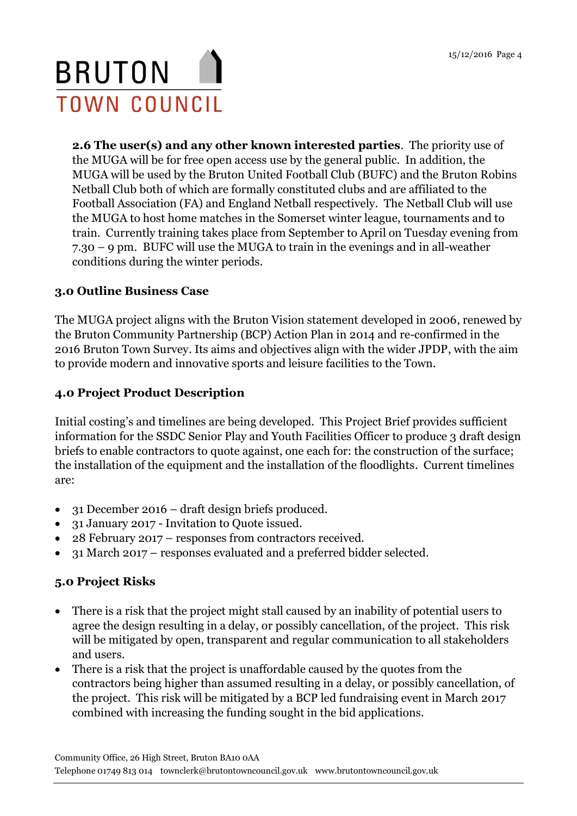# BRUTON I **TOWN COUNCIL**

**2.6 The user(s) and any other known interested parties**. The priority use of the MUGA will be for free open access use by the general public. In addition, the MUGA will be used by the Bruton United Football Club (BUFC) and the Bruton Robins Netball Club both of which are formally constituted clubs and are affiliated to the Football Association (FA) and England Netball respectively. The Netball Club will use the MUGA to host home matches in the Somerset winter league, tournaments and to train. Currently training takes place from September to April on Tuesday evening from 7.30 – 9 pm. BUFC will use the MUGA to train in the evenings and in all-weather conditions during the winter periods.

### **3.0 Outline Business Case**

The MUGA project aligns with the Bruton Vision statement developed in 2006, renewed by the Bruton Community Partnership (BCP) Action Plan in 2014 and re-confirmed in the 2016 Bruton Town Survey. Its aims and objectives align with the wider JPDP, with the aim to provide modern and innovative sports and leisure facilities to the Town.

### **4.0 Project Product Description**

Initial costing's and timelines are being developed. This Project Brief provides sufficient information for the SSDC Senior Play and Youth Facilities Officer to produce 3 draft design briefs to enable contractors to quote against, one each for: the construction of the surface; the installation of the equipment and the installation of the floodlights. Current timelines are:

- 31 December 2016 draft design briefs produced.
- 31 January 2017 Invitation to Quote issued.
- 28 February 2017 responses from contractors received.
- 31 March 2017 responses evaluated and a preferred bidder selected.

### **5.0 Project Risks**

- There is a risk that the project might stall caused by an inability of potential users to agree the design resulting in a delay, or possibly cancellation, of the project. This risk will be mitigated by open, transparent and regular communication to all stakeholders and users.
- There is a risk that the project is unaffordable caused by the quotes from the contractors being higher than assumed resulting in a delay, or possibly cancellation, of the project. This risk will be mitigated by a BCP led fundraising event in March 2017 combined with increasing the funding sought in the bid applications.